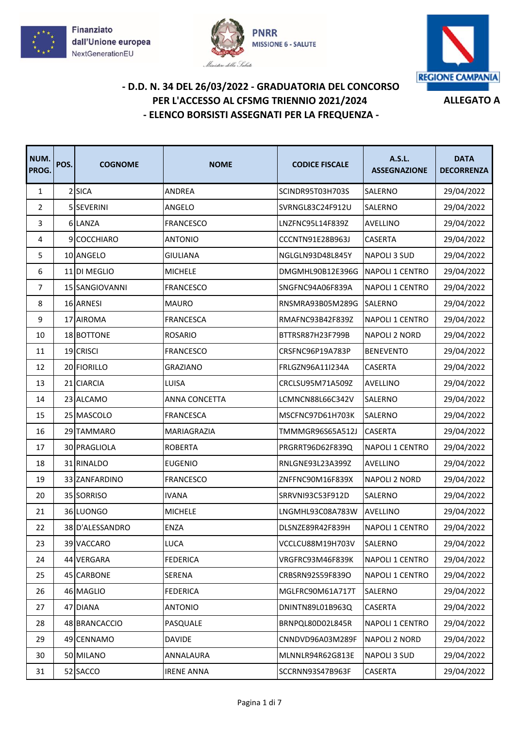





| NUM.<br>PROG.  | POS. | <b>COGNOME</b>  | <b>NOME</b>       | <b>CODICE FISCALE</b> | A.S.L.<br><b>ASSEGNAZIONE</b> | <b>DATA</b><br><b>DECORRENZA</b> |
|----------------|------|-----------------|-------------------|-----------------------|-------------------------------|----------------------------------|
| $\mathbf{1}$   |      | 2 SICA          | ANDREA            | SCINDR95T03H703S      | SALERNO                       | 29/04/2022                       |
| $\overline{2}$ |      | 5 SEVERINI      | ANGELO            | SVRNGL83C24F912U      | SALERNO                       | 29/04/2022                       |
| 3              |      | 6 LANZA         | <b>FRANCESCO</b>  | LNZFNC95L14F839Z      | AVELLINO                      | 29/04/2022                       |
| 4              |      | 9 COCCHIARO     | <b>ANTONIO</b>    | CCCNTN91E28B963J      | <b>CASERTA</b>                | 29/04/2022                       |
| 5              |      | 10 ANGELO       | <b>GIULIANA</b>   | NGLGLN93D48L845Y      | <b>NAPOLI 3 SUD</b>           | 29/04/2022                       |
| 6              |      | 11 DI MEGLIO    | <b>MICHELE</b>    | DMGMHL90B12E396G      | NAPOLI 1 CENTRO               | 29/04/2022                       |
| $\overline{7}$ |      | 15 SANGIOVANNI  | <b>FRANCESCO</b>  | SNGFNC94A06F839A      | <b>NAPOLI 1 CENTRO</b>        | 29/04/2022                       |
| 8              |      | 16 ARNESI       | <b>MAURO</b>      | RNSMRA93B05M289G      | <b>SALERNO</b>                | 29/04/2022                       |
| 9              |      | 17 AIROMA       | <b>FRANCESCA</b>  | RMAFNC93B42F839Z      | NAPOLI 1 CENTRO               | 29/04/2022                       |
| 10             |      | 18 BOTTONE      | <b>ROSARIO</b>    | BTTRSR87H23F799B      | <b>NAPOLI 2 NORD</b>          | 29/04/2022                       |
| 11             |      | 19 CRISCI       | FRANCESCO         | CRSFNC96P19A783P      | <b>BENEVENTO</b>              | 29/04/2022                       |
| 12             |      | 20 FIORILLO     | <b>GRAZIANO</b>   | FRLGZN96A11I234A      | <b>CASERTA</b>                | 29/04/2022                       |
| 13             | 21   | <b>CIARCIA</b>  | LUISA             | CRCLSU95M71A509Z      | <b>AVELLINO</b>               | 29/04/2022                       |
| 14             |      | 23 ALCAMO       | ANNA CONCETTA     | LCMNCN88L66C342V      | SALERNO                       | 29/04/2022                       |
| 15             |      | 25 MASCOLO      | <b>FRANCESCA</b>  | MSCFNC97D61H703K      | SALERNO                       | 29/04/2022                       |
| 16             |      | 29 TAMMARO      | MARIAGRAZIA       | TMMMGR96S65A512J      | <b>CASERTA</b>                | 29/04/2022                       |
| 17             |      | 30 PRAGLIOLA    | <b>ROBERTA</b>    | PRGRRT96D62F839Q      | NAPOLI 1 CENTRO               | 29/04/2022                       |
| 18             |      | 31 RINALDO      | <b>EUGENIO</b>    | RNLGNE93L23A399Z      | AVELLINO                      | 29/04/2022                       |
| 19             |      | 33 ZANFARDINO   | <b>FRANCESCO</b>  | ZNFFNC90M16F839X      | <b>NAPOLI 2 NORD</b>          | 29/04/2022                       |
| 20             |      | 35 SORRISO      | <b>IVANA</b>      | SRRVNI93C53F912D      | SALERNO                       | 29/04/2022                       |
| 21             |      | 36 LUONGO       | <b>MICHELE</b>    | LNGMHL93C08A783W      | <b>AVELLINO</b>               | 29/04/2022                       |
| 22             |      | 38 D'ALESSANDRO | <b>ENZA</b>       | DLSNZE89R42F839H      | NAPOLI 1 CENTRO               | 29/04/2022                       |
| 23             |      | 39 VACCARO      | LUCA              | VCCLCU88M19H703V      | SALERNO                       | 29/04/2022                       |
| 24             |      | 44 VERGARA      | <b>FEDERICA</b>   | VRGFRC93M46F839K      | NAPOLI 1 CENTRO               | 29/04/2022                       |
| 25             |      | 45 CARBONE      | SERENA            | CRBSRN92S59F839O      | NAPOLI 1 CENTRO               | 29/04/2022                       |
| 26             |      | 46 MAGLIO       | <b>FEDERICA</b>   | MGLFRC90M61A717T      | SALERNO                       | 29/04/2022                       |
| 27             |      | 47 DIANA        | <b>ANTONIO</b>    | DNINTN89L01B963Q      | CASERTA                       | 29/04/2022                       |
| 28             |      | 48 BRANCACCIO   | PASQUALE          | BRNPQL80D02L845R      | NAPOLI 1 CENTRO               | 29/04/2022                       |
| 29             |      | 49 CENNAMO      | <b>DAVIDE</b>     | CNNDVD96A03M289F      | <b>NAPOLI 2 NORD</b>          | 29/04/2022                       |
| 30             |      | 50 MILANO       | ANNALAURA         | MLNNLR94R62G813E      | NAPOLI 3 SUD                  | 29/04/2022                       |
| 31             |      | 52 SACCO        | <b>IRENE ANNA</b> | SCCRNN93S47B963F      | CASERTA                       | 29/04/2022                       |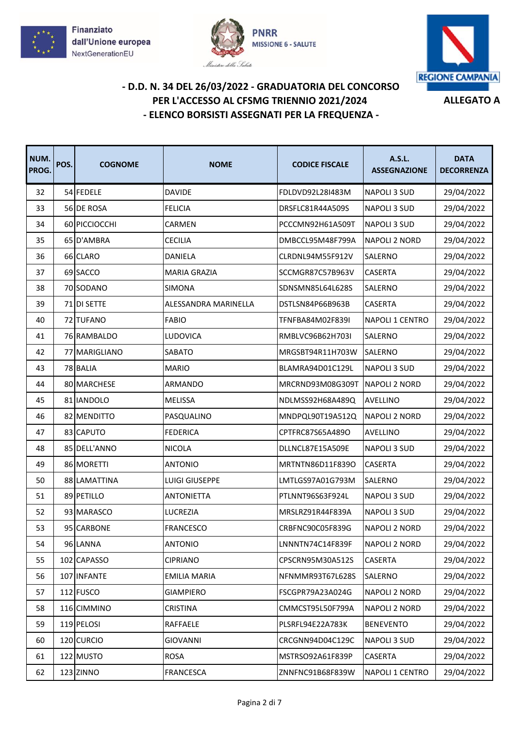





| NUM.<br>PROG. | POS. | <b>COGNOME</b> | <b>NOME</b>          | <b>CODICE FISCALE</b> | A.S.L.<br><b>ASSEGNAZIONE</b> | <b>DATA</b><br><b>DECORRENZA</b> |
|---------------|------|----------------|----------------------|-----------------------|-------------------------------|----------------------------------|
| 32            |      | 54 FEDELE      | <b>DAVIDE</b>        | FDLDVD92L28I483M      | NAPOLI 3 SUD                  | 29/04/2022                       |
| 33            |      | 56 DE ROSA     | <b>FELICIA</b>       | DRSFLC81R44A509S      | NAPOLI 3 SUD                  | 29/04/2022                       |
| 34            |      | 60 PICCIOCCHI  | CARMEN               | PCCCMN92H61A509T      | NAPOLI 3 SUD                  | 29/04/2022                       |
| 35            |      | 65 D'AMBRA     | <b>CECILIA</b>       | DMBCCL95M48F799A      | <b>NAPOLI 2 NORD</b>          | 29/04/2022                       |
| 36            |      | 66 CLARO       | <b>DANIELA</b>       | CLRDNL94M55F912V      | SALERNO                       | 29/04/2022                       |
| 37            |      | 69 SACCO       | MARIA GRAZIA         | SCCMGR87C57B963V      | CASERTA                       | 29/04/2022                       |
| 38            |      | 70 SODANO      | SIMONA               | SDNSMN85L64L628S      | SALERNO                       | 29/04/2022                       |
| 39            |      | 71 DI SETTE    | ALESSANDRA MARINELLA | DSTLSN84P66B963B      | CASERTA                       | 29/04/2022                       |
| 40            |      | 72 TUFANO      | <b>FABIO</b>         | TFNFBA84M02F839I      | NAPOLI 1 CENTRO               | 29/04/2022                       |
| 41            |      | 76 RAMBALDO    | LUDOVICA             | RMBLVC96B62H703I      | SALERNO                       | 29/04/2022                       |
| 42            | 77   | MARIGLIANO     | SABATO               | MRGSBT94R11H703W      | SALERNO                       | 29/04/2022                       |
| 43            |      | 78 BALIA       | <b>MARIO</b>         | BLAMRA94D01C129L      | <b>NAPOLI 3 SUD</b>           | 29/04/2022                       |
| 44            |      | 80 MARCHESE    | ARMANDO              | MRCRND93M08G309T      | <b>NAPOLI 2 NORD</b>          | 29/04/2022                       |
| 45            |      | 81 IANDOLO     | <b>MELISSA</b>       | NDLMSS92H68A489Q      | <b>AVELLINO</b>               | 29/04/2022                       |
| 46            |      | 82 MENDITTO    | PASQUALINO           | MNDPQL90T19A512Q      | <b>NAPOLI 2 NORD</b>          | 29/04/2022                       |
| 47            |      | 83 CAPUTO      | <b>FEDERICA</b>      | CPTFRC87S65A489O      | AVELLINO                      | 29/04/2022                       |
| 48            |      | 85 DELL'ANNO   | <b>NICOLA</b>        | DLLNCL87E15A509E      | NAPOLI 3 SUD                  | 29/04/2022                       |
| 49            |      | 86 MORETTI     | <b>ANTONIO</b>       | MRTNTN86D11F839O      | CASERTA                       | 29/04/2022                       |
| 50            |      | 88 LAMATTINA   | LUIGI GIUSEPPE       | LMTLGS97A01G793M      | SALERNO                       | 29/04/2022                       |
| 51            |      | 89 PETILLO     | <b>ANTONIETTA</b>    | PTLNNT96S63F924L      | <b>NAPOLI 3 SUD</b>           | 29/04/2022                       |
| 52            |      | 93 MARASCO     | LUCREZIA             | MRSLRZ91R44F839A      | NAPOLI 3 SUD                  | 29/04/2022                       |
| 53            |      | 95 CARBONE     | <b>FRANCESCO</b>     | CRBFNC90C05F839G      | <b>NAPOLI 2 NORD</b>          | 29/04/2022                       |
| 54            |      | 96 LANNA       | <b>ANTONIO</b>       | LNNNTN74C14F839F      | NAPOLI 2 NORD                 | 29/04/2022                       |
| 55            |      | 102 CAPASSO    | <b>CIPRIANO</b>      | CPSCRN95M30A512S      | CASERTA                       | 29/04/2022                       |
| 56            |      | 107 INFANTE    | <b>EMILIA MARIA</b>  | NFNMMR93T67L628S      | SALERNO                       | 29/04/2022                       |
| 57            |      | 112 FUSCO      | <b>GIAMPIERO</b>     | FSCGPR79A23A024G      | <b>NAPOLI 2 NORD</b>          | 29/04/2022                       |
| 58            |      | 116 CIMMINO    | CRISTINA             | CMMCST95L50F799A      | <b>NAPOLI 2 NORD</b>          | 29/04/2022                       |
| 59            |      | 119 PELOSI     | RAFFAELE             | PLSRFL94E22A783K      | <b>BENEVENTO</b>              | 29/04/2022                       |
| 60            |      | 120 CURCIO     | <b>GIOVANNI</b>      | CRCGNN94D04C129C      | NAPOLI 3 SUD                  | 29/04/2022                       |
| 61            |      | 122 MUSTO      | <b>ROSA</b>          | MSTRSO92A61F839P      | CASERTA                       | 29/04/2022                       |
| 62            |      | 123 ZINNO      | FRANCESCA            | ZNNFNC91B68F839W      | NAPOLI 1 CENTRO               | 29/04/2022                       |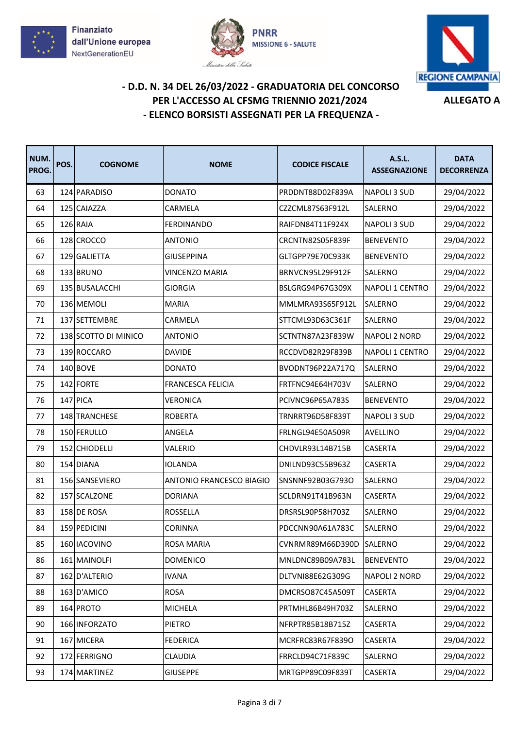





| NUM.<br>PROG. | POS. | <b>COGNOME</b>       | <b>NOME</b>              | <b>CODICE FISCALE</b> | A.S.L.<br><b>ASSEGNAZIONE</b> | <b>DATA</b><br><b>DECORRENZA</b> |
|---------------|------|----------------------|--------------------------|-----------------------|-------------------------------|----------------------------------|
| 63            |      | 124 PARADISO         | <b>DONATO</b>            | PRDDNT88D02F839A      | <b>NAPOLI 3 SUD</b>           | 29/04/2022                       |
| 64            |      | 125 CAIAZZA          | CARMELA                  | CZZCML87S63F912L      | SALERNO                       | 29/04/2022                       |
| 65            |      | 126 RAIA             | <b>FERDINANDO</b>        | RAIFDN84T11F924X      | NAPOLI 3 SUD                  | 29/04/2022                       |
| 66            |      | 128 CROCCO           | <b>ANTONIO</b>           | CRCNTN82S05F839F      | <b>BENEVENTO</b>              | 29/04/2022                       |
| 67            |      | 129 GALIETTA         | <b>GIUSEPPINA</b>        | GLTGPP79E70C933K      | <b>BENEVENTO</b>              | 29/04/2022                       |
| 68            |      | 133 BRUNO            | <b>VINCENZO MARIA</b>    | BRNVCN95L29F912F      | SALERNO                       | 29/04/2022                       |
| 69            |      | 135 BUSALACCHI       | <b>GIORGIA</b>           | BSLGRG94P67G309X      | NAPOLI 1 CENTRO               | 29/04/2022                       |
| 70            |      | 136 MEMOLI           | <b>MARIA</b>             | MMLMRA93S65F912L      | SALERNO                       | 29/04/2022                       |
| 71            |      | 137 SETTEMBRE        | CARMELA                  | STTCML93D63C361F      | SALERNO                       | 29/04/2022                       |
| 72            |      | 138 SCOTTO DI MINICO | <b>ANTONIO</b>           | SCTNTN87A23F839W      | <b>NAPOLI 2 NORD</b>          | 29/04/2022                       |
| 73            |      | 139 ROCCARO          | <b>DAVIDE</b>            | RCCDVD82R29F839B      | NAPOLI 1 CENTRO               | 29/04/2022                       |
| 74            |      | 140 BOVE             | <b>DONATO</b>            | BVODNT96P22A717Q      | SALERNO                       | 29/04/2022                       |
| 75            |      | 142 FORTE            | <b>FRANCESCA FELICIA</b> | FRTFNC94E64H703V      | SALERNO                       | 29/04/2022                       |
| 76            |      | 147 PICA             | <b>VERONICA</b>          | PCIVNC96P65A783S      | <b>BENEVENTO</b>              | 29/04/2022                       |
| 77            |      | 148 TRANCHESE        | <b>ROBERTA</b>           | TRNRRT96D58F839T      | NAPOLI 3 SUD                  | 29/04/2022                       |
| 78            |      | 150 FERULLO          | ANGELA                   | FRLNGL94E50A509R      | AVELLINO                      | 29/04/2022                       |
| 79            |      | 152 CHIODELLI        | VALERIO                  | CHDVLR93L14B715B      | <b>CASERTA</b>                | 29/04/2022                       |
| 80            |      | 154 DIANA            | <b>IOLANDA</b>           | DNILND93C55B963Z      | CASERTA                       | 29/04/2022                       |
| 81            |      | 156 SANSEVIERO       | ANTONIO FRANCESCO BIAGIO | SNSNNF92B03G793O      | SALERNO                       | 29/04/2022                       |
| 82            |      | 157 SCALZONE         | <b>DORIANA</b>           | SCLDRN91T41B963N      | CASERTA                       | 29/04/2022                       |
| 83            |      | 158 DE ROSA          | <b>ROSSELLA</b>          | DRSRSL90P58H703Z      | SALERNO                       | 29/04/2022                       |
| 84            |      | 159 PEDICINI         | CORINNA                  | PDCCNN90A61A783C      | SALERNO                       | 29/04/2022                       |
| 85            |      | 160 IACOVINO         | ROSA MARIA               | CVNRMR89M66D390D      | SALERNO                       | 29/04/2022                       |
| 86            |      | 161 MAINOLFI         | <b>DOMENICO</b>          | MNLDNC89B09A783L      | <b>BENEVENTO</b>              | 29/04/2022                       |
| 87            |      | 162 D'ALTERIO        | <b>IVANA</b>             | DLTVNI88E62G309G      | <b>NAPOLI 2 NORD</b>          | 29/04/2022                       |
| 88            |      | 163 D'AMICO          | <b>ROSA</b>              | DMCRSO87C45A509T      | CASERTA                       | 29/04/2022                       |
| 89            |      | 164 PROTO            | <b>MICHELA</b>           | PRTMHL86B49H703Z      | SALERNO                       | 29/04/2022                       |
| 90            |      | 166 INFORZATO        | <b>PIETRO</b>            | NFRPTR85B18B715Z      | CASERTA                       | 29/04/2022                       |
| 91            |      | 167 MICERA           | <b>FEDERICA</b>          | MCRFRC83R67F839O      | CASERTA                       | 29/04/2022                       |
| 92            |      | 172 FERRIGNO         | <b>CLAUDIA</b>           | FRRCLD94C71F839C      | SALERNO                       | 29/04/2022                       |
| 93            |      | 174 MARTINEZ         | <b>GIUSEPPE</b>          | MRTGPP89C09F839T      | CASERTA                       | 29/04/2022                       |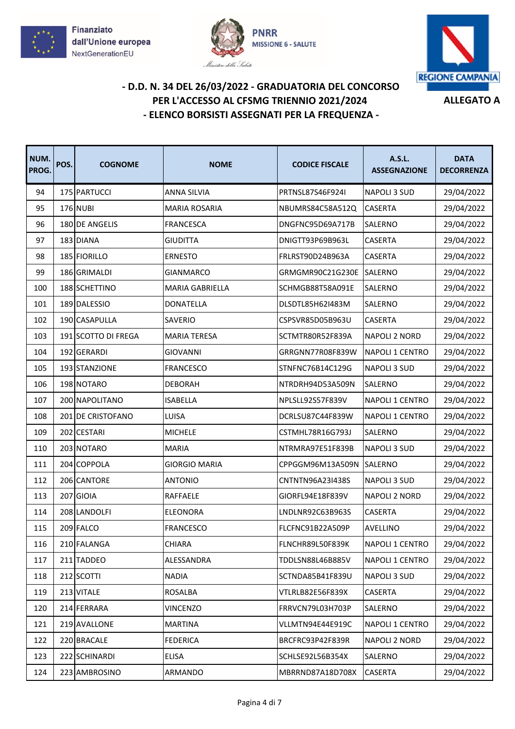





| NUM.<br>PROG. | POS. | <b>COGNOME</b>      | <b>NOME</b>            | <b>CODICE FISCALE</b> | A.S.L.<br><b>ASSEGNAZIONE</b> | <b>DATA</b><br><b>DECORRENZA</b> |
|---------------|------|---------------------|------------------------|-----------------------|-------------------------------|----------------------------------|
| 94            |      | 175 PARTUCCI        | <b>ANNA SILVIA</b>     | PRTNSL87S46F924I      | <b>NAPOLI 3 SUD</b>           | 29/04/2022                       |
| 95            |      | <b>176 NUBI</b>     | <b>MARIA ROSARIA</b>   | NBUMRS84C58A512Q      | <b>CASERTA</b>                | 29/04/2022                       |
| 96            |      | 180 DE ANGELIS      | <b>FRANCESCA</b>       | DNGFNC95D69A717B      | SALERNO                       | 29/04/2022                       |
| 97            |      | 183 DIANA           | <b>GIUDITTA</b>        | DNIGTT93P69B963L      | CASERTA                       | 29/04/2022                       |
| 98            |      | 185 FIORILLO        | <b>ERNESTO</b>         | FRLRST90D24B963A      | CASERTA                       | 29/04/2022                       |
| 99            |      | 186 GRIMALDI        | <b>GIANMARCO</b>       | GRMGMR90C21G230E      | SALERNO                       | 29/04/2022                       |
| 100           |      | 188 SCHETTINO       | <b>MARIA GABRIELLA</b> | SCHMGB88T58A091E      | SALERNO                       | 29/04/2022                       |
| 101           |      | 189 DALESSIO        | <b>DONATELLA</b>       | DLSDTL85H62I483M      | SALERNO                       | 29/04/2022                       |
| 102           |      | 190 CASAPULLA       | SAVERIO                | CSPSVR85D05B963U      | CASERTA                       | 29/04/2022                       |
| 103           |      | 191 SCOTTO DI FREGA | <b>MARIA TERESA</b>    | SCTMTR80R52F839A      | <b>NAPOLI 2 NORD</b>          | 29/04/2022                       |
| 104           |      | 192 GERARDI         | <b>GIOVANNI</b>        | GRRGNN77R08F839W      | <b>NAPOLI 1 CENTRO</b>        | 29/04/2022                       |
| 105           |      | 193 STANZIONE       | <b>FRANCESCO</b>       | STNFNC76B14C129G      | NAPOLI 3 SUD                  | 29/04/2022                       |
| 106           |      | 198 NOTARO          | <b>DEBORAH</b>         | NTRDRH94D53A509N      | SALERNO                       | 29/04/2022                       |
| 107           |      | 200 NAPOLITANO      | <b>ISABELLA</b>        | NPLSLL92S57F839V      | NAPOLI 1 CENTRO               | 29/04/2022                       |
| 108           |      | 201 DE CRISTOFANO   | LUISA                  | DCRLSU87C44F839W      | NAPOLI 1 CENTRO               | 29/04/2022                       |
| 109           |      | 202 CESTARI         | <b>MICHELE</b>         | CSTMHL78R16G793J      | SALERNO                       | 29/04/2022                       |
| 110           |      | 203 NOTARO          | <b>MARIA</b>           | NTRMRA97E51F839B      | NAPOLI 3 SUD                  | 29/04/2022                       |
| 111           |      | 204 COPPOLA         | <b>GIORGIO MARIA</b>   | CPPGGM96M13A509N      | SALERNO                       | 29/04/2022                       |
| 112           |      | 206 CANTORE         | <b>ANTONIO</b>         | CNTNTN96A23I438S      | NAPOLI 3 SUD                  | 29/04/2022                       |
| 113           |      | 207 GIOIA           | RAFFAELE               | GIORFL94E18F839V      | <b>NAPOLI 2 NORD</b>          | 29/04/2022                       |
| 114           |      | 208 LANDOLFI        | <b>ELEONORA</b>        | LNDLNR92C63B963S      | CASERTA                       | 29/04/2022                       |
| 115           |      | 209 FALCO           | <b>FRANCESCO</b>       | FLCFNC91B22A509P      | AVELLINO                      | 29/04/2022                       |
| 116           |      | 210 FALANGA         | <b>CHIARA</b>          | FLNCHR89L50F839K      | <b>NAPOLI 1 CENTRO</b>        | 29/04/2022                       |
| 117           |      | 211 TADDEO          | ALESSANDRA             | TDDLSN88L46B885V      | NAPOLI 1 CENTRO               | 29/04/2022                       |
| 118           |      | 212 SCOTTI          | <b>NADIA</b>           | SCTNDA85B41F839U      | NAPOLI 3 SUD                  | 29/04/2022                       |
| 119           |      | 213 VITALE          | <b>ROSALBA</b>         | VTLRLB82E56F839X      | CASERTA                       | 29/04/2022                       |
| 120           |      | 214 FERRARA         | <b>VINCENZO</b>        | FRRVCN79L03H703P      | SALERNO                       | 29/04/2022                       |
| 121           |      | 219 AVALLONE        | <b>MARTINA</b>         | VLLMTN94E44E919C      | NAPOLI 1 CENTRO               | 29/04/2022                       |
| 122           |      | 220 BRACALE         | <b>FEDERICA</b>        | BRCFRC93P42F839R      | <b>NAPOLI 2 NORD</b>          | 29/04/2022                       |
| 123           |      | 222 SCHINARDI       | ELISA                  | SCHLSE92L56B354X      | SALERNO                       | 29/04/2022                       |
| 124           |      | 223 AMBROSINO       | ARMANDO                | MBRRND87A18D708X      | <b>CASERTA</b>                | 29/04/2022                       |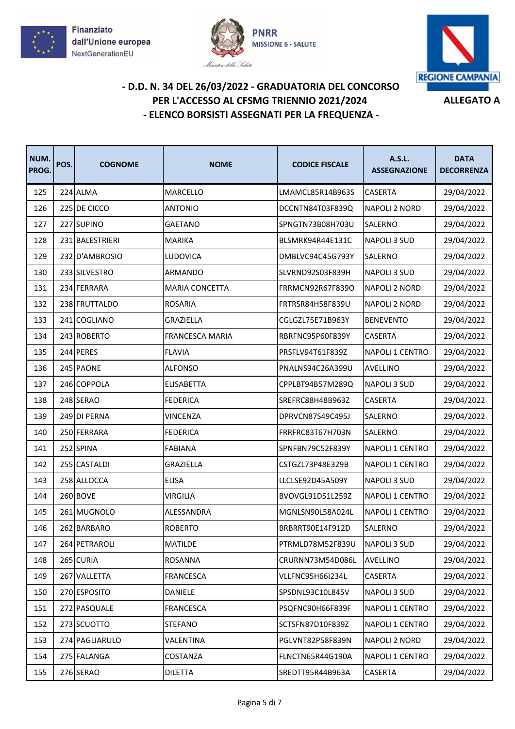





| NUM.<br>PROG. | POS. | <b>COGNOME</b>  | <b>NOME</b>           | <b>CODICE FISCALE</b>   | A.S.L.<br><b>ASSEGNAZIONE</b> | <b>DATA</b><br><b>DECORRENZA</b> |
|---------------|------|-----------------|-----------------------|-------------------------|-------------------------------|----------------------------------|
| 125           |      | 224 ALMA        | MARCELLO              | LMAMCL85R14B963S        | CASERTA                       | 29/04/2022                       |
| 126           |      | 225 DE CICCO    | <b>ANTONIO</b>        | DCCNTN84T03F839Q        | <b>NAPOLI 2 NORD</b>          | 29/04/2022                       |
| 127           |      | 227 SUPINO      | <b>GAETANO</b>        | SPNGTN73B08H703U        | SALERNO                       | 29/04/2022                       |
| 128           |      | 231 BALESTRIERI | <b>MARIKA</b>         | BLSMRK94R44E131C        | <b>NAPOLI 3 SUD</b>           | 29/04/2022                       |
| 129           |      | 232 D'AMBROSIO  | LUDOVICA              | DMBLVC94C45G793Y        | <b>SALERNO</b>                | 29/04/2022                       |
| 130           |      | 233 SILVESTRO   | ARMANDO               | SLVRND92S03F839H        | NAPOLI 3 SUD                  | 29/04/2022                       |
| 131           |      | 234 FERRARA     | <b>MARIA CONCETTA</b> | <b>FRRMCN92R67F839O</b> | <b>NAPOLI 2 NORD</b>          | 29/04/2022                       |
| 132           |      | 238 FRUTTALDO   | <b>ROSARIA</b>        | <b>FRTRSR84H58F839U</b> | <b>NAPOLI 2 NORD</b>          | 29/04/2022                       |
| 133           |      | 241 COGLIANO    | GRAZIELLA             | CGLGZL75E71B963Y        | <b>BENEVENTO</b>              | 29/04/2022                       |
| 134           |      | 243 ROBERTO     | FRANCESCA MARIA       | RBRFNC95P60F839Y        | CASERTA                       | 29/04/2022                       |
| 135           |      | 244 PERES       | <b>FLAVIA</b>         | PRSFLV94T61F839Z        | <b>NAPOLI 1 CENTRO</b>        | 29/04/2022                       |
| 136           |      | 245 PAONE       | <b>ALFONSO</b>        | PNALNS94C26A399U        | <b>AVELLINO</b>               | 29/04/2022                       |
| 137           |      | 246 COPPOLA     | <b>ELISABETTA</b>     | CPPLBT94B57M289Q        | NAPOLI 3 SUD                  | 29/04/2022                       |
| 138           |      | 248 SERAO       | <b>FEDERICA</b>       | SREFRC88H48B963Z        | CASERTA                       | 29/04/2022                       |
| 139           |      | 249 DI PERNA    | VINCENZA              | DPRVCN87S49C495J        | SALERNO                       | 29/04/2022                       |
| 140           |      | 250 FERRARA     | <b>FEDERICA</b>       | FRRFRC83T67H703N        | SALERNO                       | 29/04/2022                       |
| 141           |      | 252 SPINA       | <b>FABIANA</b>        | SPNFBN79C52F839Y        | NAPOLI 1 CENTRO               | 29/04/2022                       |
| 142           |      | 255 CASTALDI    | GRAZIELLA             | CSTGZL73P48E329B        | <b>NAPOLI 1 CENTRO</b>        | 29/04/2022                       |
| 143           |      | 258 ALLOCCA     | <b>ELISA</b>          | LLCLSE92D45A509Y        | NAPOLI 3 SUD                  | 29/04/2022                       |
| 144           |      | 260 BOVE        | <b>VIRGILIA</b>       | BVOVGL91D51L259Z        | NAPOLI 1 CENTRO               | 29/04/2022                       |
| 145           |      | 261 MUGNOLO     | ALESSANDRA            | MGNLSN90L58A024L        | <b>NAPOLI 1 CENTRO</b>        | 29/04/2022                       |
| 146           |      | 262 BARBARO     | <b>ROBERTO</b>        | BRBRRT90E14F912D        | SALERNO                       | 29/04/2022                       |
| 147           |      | 264 PETRAROLI   | <b>MATILDE</b>        | PTRMLD78M52F839U        | NAPOLI 3 SUD                  | 29/04/2022                       |
| 148           |      | 265 CURIA       | <b>ROSANNA</b>        | CRURNN73M54D086L        | AVELLINO                      | 29/04/2022                       |
| 149           |      | 267 VALLETTA    | <b>FRANCESCA</b>      | VLLFNC95H66I234L        | CASERTA                       | 29/04/2022                       |
| 150           |      | 270 ESPOSITO    | DANIELE               | SPSDNL93C10L845V        | NAPOLI 3 SUD                  | 29/04/2022                       |
| 151           |      | 272 PASQUALE    | <b>FRANCESCA</b>      | PSQFNC90H66F839F        | NAPOLI 1 CENTRO               | 29/04/2022                       |
| 152           |      | 273 SCUOTTO     | <b>STEFANO</b>        | SCTSFN87D10F839Z        | NAPOLI 1 CENTRO               | 29/04/2022                       |
| 153           |      | 274 PAGLIARULO  | VALENTINA             | PGLVNT82P58F839N        | <b>NAPOLI 2 NORD</b>          | 29/04/2022                       |
| 154           |      | 275 FALANGA     | COSTANZA              | FLNCTN65R44G190A        | NAPOLI 1 CENTRO               | 29/04/2022                       |
| 155           |      | 276 SERAO       | <b>DILETTA</b>        | SREDTT95R44B963A        | CASERTA                       | 29/04/2022                       |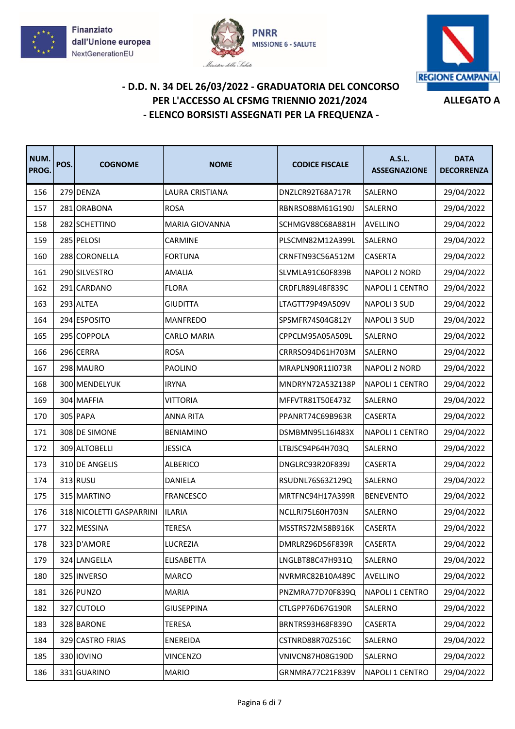





| NUM.<br>PROG. | POS. | <b>COGNOME</b>           | <b>NOME</b>           | <b>CODICE FISCALE</b> | A.S.L.<br><b>ASSEGNAZIONE</b> | <b>DATA</b><br><b>DECORRENZA</b> |
|---------------|------|--------------------------|-----------------------|-----------------------|-------------------------------|----------------------------------|
| 156           |      | 279 DENZA                | LAURA CRISTIANA       | DNZLCR92T68A717R      | SALERNO                       | 29/04/2022                       |
| 157           |      | 281 ORABONA              | <b>ROSA</b>           | RBNRSO88M61G190J      | SALERNO                       | 29/04/2022                       |
| 158           |      | 282 SCHETTINO            | <b>MARIA GIOVANNA</b> | SCHMGV88C68A881H      | <b>AVELLINO</b>               | 29/04/2022                       |
| 159           |      | 285 PELOSI               | CARMINE               | PLSCMN82M12A399L      | <b>SALERNO</b>                | 29/04/2022                       |
| 160           |      | 288 CORONELLA            | <b>FORTUNA</b>        | CRNFTN93C56A512M      | CASERTA                       | 29/04/2022                       |
| 161           |      | 290 SILVESTRO            | AMALIA                | SLVMLA91C60F839B      | <b>NAPOLI 2 NORD</b>          | 29/04/2022                       |
| 162           |      | 291 CARDANO              | <b>FLORA</b>          | CRDFLR89L48F839C      | <b>NAPOLI 1 CENTRO</b>        | 29/04/2022                       |
| 163           |      | 293 ALTEA                | <b>GIUDITTA</b>       | LTAGTT79P49A509V      | <b>NAPOLI 3 SUD</b>           | 29/04/2022                       |
| 164           |      | 294 ESPOSITO             | MANFREDO              | SPSMFR74S04G812Y      | NAPOLI 3 SUD                  | 29/04/2022                       |
| 165           |      | 295 COPPOLA              | <b>CARLO MARIA</b>    | CPPCLM95A05A509L      | SALERNO                       | 29/04/2022                       |
| 166           |      | 296 CERRA                | <b>ROSA</b>           | CRRRSO94D61H703M      | <b>SALERNO</b>                | 29/04/2022                       |
| 167           |      | 298 MAURO                | PAOLINO               | MRAPLN90R11I073R      | <b>NAPOLI 2 NORD</b>          | 29/04/2022                       |
| 168           |      | 300 MENDELYUK            | <b>IRYNA</b>          | MNDRYN72A53Z138P      | NAPOLI 1 CENTRO               | 29/04/2022                       |
| 169           |      | 304 MAFFIA               | <b>VITTORIA</b>       | MFFVTR81T50E473Z      | SALERNO                       | 29/04/2022                       |
| 170           |      | 305 PAPA                 | <b>ANNA RITA</b>      | PPANRT74C69B963R      | CASERTA                       | 29/04/2022                       |
| 171           |      | 308 DE SIMONE            | <b>BENIAMINO</b>      | DSMBMN95L16I483X      | NAPOLI 1 CENTRO               | 29/04/2022                       |
| 172           |      | 309 ALTOBELLI            | <b>JESSICA</b>        | LTBJSC94P64H703Q      | SALERNO                       | 29/04/2022                       |
| 173           |      | 310 DE ANGELIS           | <b>ALBERICO</b>       | DNGLRC93R20F839J      | <b>CASERTA</b>                | 29/04/2022                       |
| 174           |      | 313 RUSU                 | DANIELA               | RSUDNL76S63Z129Q      | SALERNO                       | 29/04/2022                       |
| 175           |      | 315 MARTINO              | <b>FRANCESCO</b>      | MRTFNC94H17A399R      | <b>BENEVENTO</b>              | 29/04/2022                       |
| 176           |      | 318 NICOLETTI GASPARRINI | <b>ILARIA</b>         | NCLLRI75L60H703N      | SALERNO                       | 29/04/2022                       |
| 177           |      | 322 MESSINA              | TERESA                | MSSTRS72M58B916K      | CASERTA                       | 29/04/2022                       |
| 178           |      | 323 D'AMORE              | LUCREZIA              | DMRLRZ96D56F839R      | CASERTA                       | 29/04/2022                       |
| 179           |      | 324 LANGELLA             | <b>ELISABETTA</b>     | LNGLBT88C47H931Q      | SALERNO                       | 29/04/2022                       |
| 180           |      | 325 INVERSO              | MARCO                 | NVRMRC82B10A489C      | <b>AVELLINO</b>               | 29/04/2022                       |
| 181           |      | 326 PUNZO                | <b>MARIA</b>          | PNZMRA77D70F839Q      | NAPOLI 1 CENTRO               | 29/04/2022                       |
| 182           |      | 327 CUTOLO               | <b>GIUSEPPINA</b>     | CTLGPP76D67G190R      | SALERNO                       | 29/04/2022                       |
| 183           |      | 328 BARONE               | TERESA                | BRNTRS93H68F839O      | <b>CASERTA</b>                | 29/04/2022                       |
| 184           |      | 329 CASTRO FRIAS         | ENEREIDA              | CSTNRD88R70Z516C      | SALERNO                       | 29/04/2022                       |
| 185           |      | 330 IOVINO               | <b>VINCENZO</b>       | VNIVCN87H08G190D      | SALERNO                       | 29/04/2022                       |
| 186           |      | 331 GUARINO              | <b>MARIO</b>          | GRNMRA77C21F839V      | NAPOLI 1 CENTRO               | 29/04/2022                       |